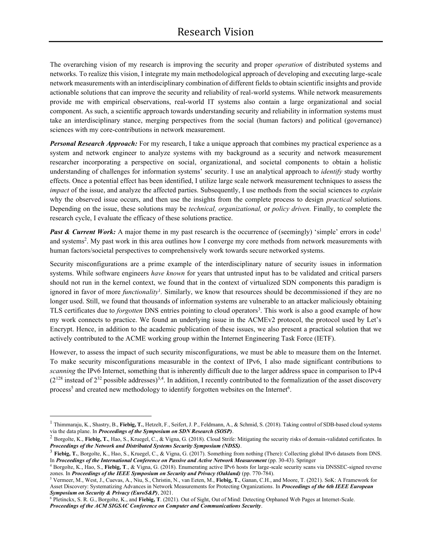The overarching vision of my research is improving the security and proper *operation* of distributed systems and networks. To realize this vision, I integrate my main methodological approach of developing and executing large-scale network measurements with an interdisciplinary combination of different fieldsto obtain scientific insights and provide actionable solutions that can improve the security and reliability of real-world systems. While network measurements provide me with empirical observations, real-world IT systems also contain a large organizational and social component. As such, a scientific approach towards understanding security and reliability in information systems must take an interdisciplinary stance, merging perspectives from the social (human factors) and political (governance) sciences with my core-contributions in network measurement.

*Personal Research Approach:* For my research, I take a unique approach that combines my practical experience as a system and network engineer to analyze systems with my background as a security and network measurement researcher incorporating a perspective on social, organizational, and societal components to obtain a holistic understanding of challenges for information systems' security. I use an analytical approach to *identify* study worthy effects. Once a potential effect has been identified, I utilize large scale network measurement techniques to assess the *impact* of the issue, and analyze the affected parties. Subsequently, I use methods from the social sciences to *explain* why the observed issue occurs, and then use the insights from the complete process to design *practical* solutions. Depending on the issue, these solutions may be *technical, organizational,* or *policy driven.* Finally, to complete the research cycle, I evaluate the efficacy of these solutions practice.

**Past & Current Work:** A major theme in my past research is the occurrence of (seemingly) 'simple' errors in code<sup>1</sup> and systems<sup>2</sup>. My past work in this area outlines how I converge my core methods from network measurements with human factors/societal perspectives to comprehensively work towards secure networked systems.

Security misconfigurations are a prime example of the interdisciplinary nature of security issues in information systems. While software engineers *have known* for years that untrusted input has to be validated and critical parsers should not run in the kernel context, we found that in the context of virtualized SDN components this paradigm is ignored in favor of more *functionality*<sup>1</sup>. Similarly, we know that resources should be decommissioned if they are no longer used. Still, we found that thousands of information systems are vulnerable to an attacker maliciously obtaining TLS certificates due to *forgotten* DNS entries pointing to cloud operators<sup>3</sup>. This work is also a good example of how my work connects to practice. We found an underlying issue in the ACMEv2 protocol, the protocol used by Let's Encrypt. Hence, in addition to the academic publication of these issues, we also present a practical solution that we actively contributed to the ACME working group within the Internet Engineering Task Force (IETF).

However, to assess the impact of such security misconfigurations, we must be able to measure them on the Internet. To make security misconfigurations measurable in the context of IPv6, I also made significant contributions to *scanning* the IPv6 Internet, something that is inherently difficult due to the larger address space in comparison to IPv4  $(2^{128})$  instead of  $2^{32}$  possible addresses)<sup>3,4</sup>. In addition, I recently contributed to the formalization of the asset discovery process<sup>5</sup> and created new methodology to identify forgotten websites on the Internet<sup>6</sup>.

<sup>1</sup> Thimmaraju, K., Shastry, B., **Fiebig, T.**, Hetzelt, F., Seifert, J. P., Feldmann, A., & Schmid, S. (2018). Taking control of SDB-based cloud systems via the data plane. In *Proceedings of the Symposium on SDN Research (SOSP)*.

<sup>&</sup>lt;sup>2</sup> Borgolte, K., Fiebig, T., Hao, S., Kruegel, C., & Vigna, G. (2018). Cloud Strife: Mitigating the security risks of domain-validated certificates. In *Proceedings of the Network and Distributed Systems Security Symposium (NDSS)*.

<sup>&</sup>lt;sup>3</sup> Fiebig, T., Borgolte, K., Hao, S., Kruegel, C., & Vigna, G. (2017). Something from nothing (There): Collecting global IPv6 datasets from DNS. In *Proceedings of the International Conference on Passive and Active Network Measurement* (pp. 30-43). Springer

<sup>4</sup> Borgolte, K., Hao, S., **Fiebig, T**., & Vigna, G. (2018). Enumerating active IPv6 hosts for large-scale security scans via DNSSEC-signed reverse zones. In *Proceedings of the IEEE Symposium on Security and Privacy (Oakland)* (pp. 770-784).

<sup>5</sup> Vermeer, M., West, J., Cuevas, A., Niu, S., Christin, N., van Eeten, M., **Fiebig, T.**, Ganan, C.H., and Moore, T. (2021). SoK: A Framework for Asset Discovery: Systematizing Advances in Network Measurements for Protecting Organizations. In *Proceedings of the 6th IEEE European Symposium on Security & Privacy (EuroS&P)*, 2021.

<sup>6</sup> Pletinckx, S. R. G., Borgolte, K., and **Fiebig, T**. (2021). Out of Sight, Out of Mind: Detecting Orphaned Web Pages at Internet-Scale. *Proceedings of the ACM SIGSAC Conference on Computer and Communications Security*.